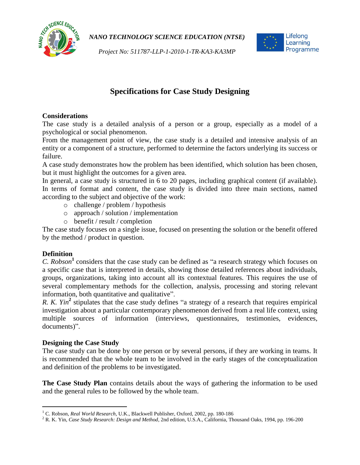

*Project No: 511787-LLP-1-2010-1-TR-KA3-KA3MP*



# **Specifications for Case Study Designing**

## **Considerations**

The case study is a detailed analysis of a person or a group, especially as a model of a psychological or social phenomenon.

From the management point of view, the case study is a detailed and intensive analysis of an entity or a component of a structure, performed to determine the factors underlying its success or failure.

A case study demonstrates how the problem has been identified, which solution has been chosen, but it must highlight the outcomes for a given area.

In general, a case study is structured in 6 to 20 pages, including graphical content (if available). In terms of format and content, the case study is divided into three main sections, named according to the subject and objective of the work:

- o challenge / problem / hypothesis
- o approach / solution / implementation
- o benefit / result / completion

The case study focuses on a single issue, focused on presenting the solution or the benefit offered by the method / product in question.

## **Definition**

l

*C. Robson***<sup>1</sup>** considers that the case study can be defined as "a research strategy which focuses on a specific case that is interpreted in details, showing those detailed references about individuals, groups, organizations, taking into account all its contextual features. This requires the use of several complementary methods for the collection, analysis, processing and storing relevant information, both quantitative and qualitative".

*R. K. Yin*<sup>2</sup> stipulates that the case study defines "a strategy of a research that requires empirical investigation about a particular contemporary phenomenon derived from a real life context, using multiple sources of information (interviews, questionnaires, testimonies, evidences, documents)".

## **Designing the Case Study**

The case study can be done by one person or by several persons, if they are working in teams. It is recommended that the whole team to be involved in the early stages of the conceptualization and definition of the problems to be investigated.

**The Case Study Plan** contains details about the ways of gathering the information to be used and the general rules to be followed by the whole team.

<sup>1</sup> C. Robson, *Real World Research*, U.K., Blackwell Publisher, Oxford, 2002, pp. 180-186

<sup>2</sup> R. K. Yin, *Case Study Research: Design and Method*, 2nd edition, U.S.A., California, Thousand Oaks, 1994, pp. 196-200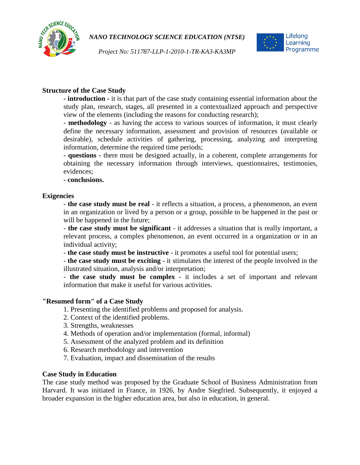





## **Structure of the Case Study**

**- introduction -** it is that part of the case study containing essential information about the study plan, research, stages, all presented in a contextualized approach and perspective view of the elements (including the reasons for conducting research);

- **methodology** - as having the access to various sources of information, it must clearly define the necessary information, assessment and provision of resources (available or desirable), schedule activities of gathering, processing, analyzing and interpreting information, determine the required time periods;

- **questions -** there must be designed actually, in a coherent, complete arrangements for obtaining the necessary information through interviews, questionnaires, testimonies, evidences;

**- conclusions.**

#### **Exigencies**

**- the case study must be real** - it reflects a situation, a process, a phenomenon, an event in an organization or lived by a person or a group, possible to be happened in the past or will be happened in the future;

- **the case study must be significant** - it addresses a situation that is really important, a relevant process, a complex phenomenon, an event occurred in a organization or in an individual activity;

- **the case study must be instructive** - it promotes a useful tool for potential users;

- **the case study must be exciting** - it stimulates the interest of the people involved in the illustrated situation, analysis and/or interpretation;

- **the case study must be complex** - it includes a set of important and relevant information that make it useful for various activities.

#### **"Resumed form" of a Case Study**

- 1. Presenting the identified problems and proposed for analysis.
- 2. Context of the identified problems.
- 3. Strengths, weaknesses
- 4. Methods of operation and/or implementation (formal, informal)
- 5. Assessment of the analyzed problem and its definition
- 6. Research methodology and intervention
- 7. Evaluation, impact and dissemination of the results

#### **Case Study in Education**

The case study method was proposed by the Graduate School of Business Administration from Harvard. It was initiated in France, in 1926, by Andre Siegfried. Subsequently, it enjoyed a broader expansion in the higher education area, but also in education, in general.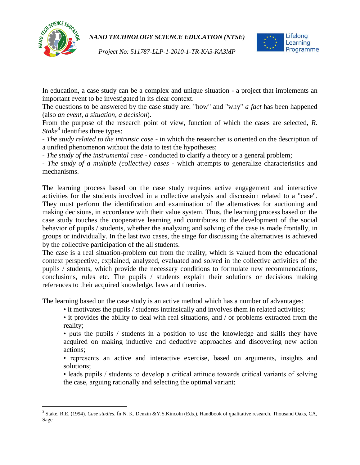

l

*NANO TECHNOLOGY SCIENCE EDUCATION (NTSE)*



*Project No: 511787-LLP-1-2010-1-TR-KA3-KA3MP*

In education, a case study can be a complex and unique situation - a project that implements an important event to be investigated in its clear context.

The questions to be answered by the case study are: "how" and "why" *a fact* has been happened (also *an event*, *a situation*, *a decision*).

From the purpose of the research point of view, function of which the cases are selected, *R. Stake***<sup>3</sup>** identifies three types:

- *The study related to the intrinsic case* - in which the researcher is oriented on the description of a unified phenomenon without the data to test the hypotheses;

- *The study of the instrumental case* - conducted to clarify a theory or a general problem;

- *The study of a multiple (collective) cases* - which attempts to generalize characteristics and mechanisms.

The learning process based on the case study requires active engagement and interactive activities for the students involved in a collective analysis and discussion related to a "case". They must perform the identification and examination of the alternatives for auctioning and making decisions, in accordance with their value system. Thus, the learning process based on the case study touches the cooperative learning and contributes to the development of the social behavior of pupils / students, whether the analyzing and solving of the case is made frontally, in groups or individually. In the last two cases, the stage for discussing the alternatives is achieved by the collective participation of the all students.

The case is a real situation-problem cut from the reality, which is valued from the educational context perspective, explained, analyzed, evaluated and solved in the collective activities of the pupils / students, which provide the necessary conditions to formulate new recommendations, conclusions, rules etc. The pupils / students explain their solutions or decisions making references to their acquired knowledge, laws and theories.

The learning based on the case study is an active method which has a number of advantages:

• it motivates the pupils / students intrinsically and involves them in related activities;

• it provides the ability to deal with real situations, and / or problems extracted from the reality;

• puts the pupils / students in a position to use the knowledge and skills they have acquired on making inductive and deductive approaches and discovering new action actions;

• represents an active and interactive exercise, based on arguments, insights and solutions;

• leads pupils / students to develop a critical attitude towards critical variants of solving the case, arguing rationally and selecting the optimal variant;

<sup>3</sup> Stake, R.E. (1994). *Case studies*. În N. K. Denzin &Y.S.Kincoln (Eds.), Handbook of qualitative research. Thousand Oaks, CA, Sage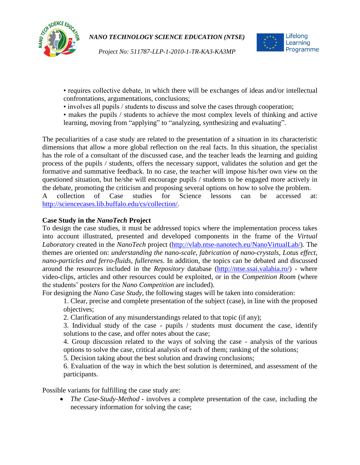

*Project No: 511787-LLP-1-2010-1-TR-KA3-KA3MP*



• requires collective debate, in which there will be exchanges of ideas and/or intellectual confrontations, argumentations, conclusions;

- involves all pupils / students to discuss and solve the cases through cooperation;
- makes the pupils / students to achieve the most complex levels of thinking and active learning, moving from "applying" to "analyzing, synthesizing and evaluating".

The peculiarities of a case study are related to the presentation of a situation in its characteristic dimensions that allow a more global reflection on the real facts. In this situation, the specialist has the role of a consultant of the discussed case, and the teacher leads the learning and guiding process of the pupils / students, offers the necessary support, validates the solution and get the formative and summative feedback. In no case, the teacher will impose his/her own view on the questioned situation, but he/she will encourage pupils / students to be engaged more actively in the debate, promoting the criticism and proposing several options on how to solve the problem.

A collection of Case studies for Science lessons can be accessed at: [http://sciencecases.lib.buffalo.edu/cs/collection/.](http://sciencecases.lib.buffalo.edu/cs/collection/)

## **Case Study in the** *NanoTech* **Project**

To design the case studies, it must be addressed topics where the implementation process takes into account illustrated, presented and developed components in the frame of the *Virtual Laboratory* created in the *NanoTech* project [\(http://vlab.ntse-nanotech.eu/NanoVirtualLab/\)](http://vlab.ntse-nanotech.eu/NanoVirtualLab/). The themes are oriented on: *understanding the nano-scale*, *fabrication of nano-crystals*, *Lotus effect*, *nano-particles and ferro-fluids*, *fullerenes*. In addition, the topics can be debated and discussed around the resources included in the *Repository* database [\(http://ntse.ssai.valahia.ro/\)](http://ntse.ssai.valahia.ro/) - where video-clips, articles and other resources could be exploited, or in the *Competition Room* (where the students' posters for the *Nano Competition* are included).

For designing the *Nano Case Study*, the following stages will be taken into consideration:

1. Clear, precise and complete presentation of the subject (case), in line with the proposed objectives;

2. Clarification of any misunderstandings related to that topic (if any);

3. Individual study of the case - pupils / students must document the case, identify solutions to the case, and offer notes about the case;

4. Group discussion related to the ways of solving the case - analysis of the various options to solve the case, critical analysis of each of them; ranking of the solutions;

5. Decision taking about the best solution and drawing conclusions;

6. Evaluation of the way in which the best solution is determined, and assessment of the participants.

Possible variants for fulfilling the case study are:

 *The Case-Study-Method* - involves a complete presentation of the case, including the necessary information for solving the case;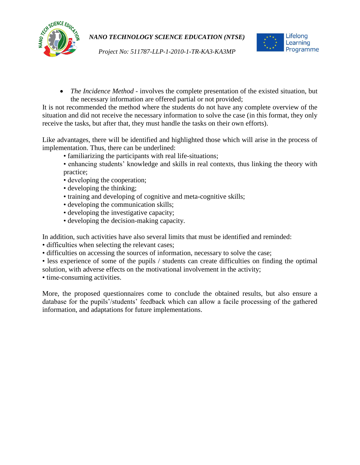



*Project No: 511787-LLP-1-2010-1-TR-KA3-KA3MP*

 *The Incidence Method* - involves the complete presentation of the existed situation, but the necessary information are offered partial or not provided;

It is not recommended the method where the students do not have any complete overview of the situation and did not receive the necessary information to solve the case (in this format, they only receive the tasks, but after that, they must handle the tasks on their own efforts).

Like advantages, there will be identified and highlighted those which will arise in the process of implementation. Thus, there can be underlined:

- familiarizing the participants with real life-situations;
- enhancing students' knowledge and skills in real contexts, thus linking the theory with practice;
- developing the cooperation;
- developing the thinking;
- training and developing of cognitive and meta-cognitive skills;
- developing the communication skills;
- developing the investigative capacity;
- developing the decision-making capacity.

In addition, such activities have also several limits that must be identified and reminded:

• difficulties when selecting the relevant cases;

- difficulties on accessing the sources of information, necessary to solve the case;
- less experience of some of the pupils / students can create difficulties on finding the optimal solution, with adverse effects on the motivational involvement in the activity;

• time-consuming activities.

More, the proposed questionnaires come to conclude the obtained results, but also ensure a database for the pupils'/students' feedback which can allow a facile processing of the gathered information, and adaptations for future implementations.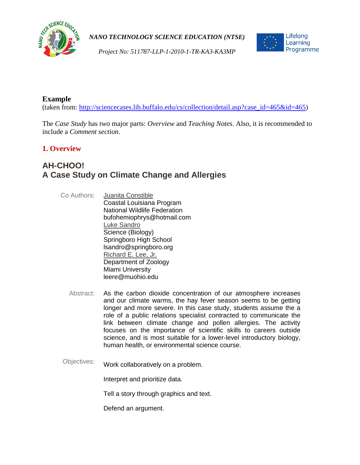



*Project No: 511787-LLP-1-2010-1-TR-KA3-KA3MP*

## **Example**

(taken from: [http://sciencecases.lib.buffalo.edu/cs/collection/detail.asp?case\\_id=465&id=465\)](http://sciencecases.lib.buffalo.edu/cs/collection/detail.asp?case_id=465&id=465)

The *Case Study* has two major parts: *Overview* and *Teaching Notes*. Also, it is recommended to include a *Comment section*.

## **1. Overview**

## **AH-CHOO! A Case Study on Climate Change and Allergies**

- Co Authors: Juanita [Constible](http://sciencecases.lib.buffalo.edu/cs/collection/author_list.asp?author_id=162) Coastal Louisiana Program National Wildlife Federation bufohemiophrys@hotmail.com Luke [Sandro](http://sciencecases.lib.buffalo.edu/cs/collection/author_list.asp?author_id=391) Science (Biology) Springboro High School lsandro@springboro.org [Richard E.](http://sciencecases.lib.buffalo.edu/cs/collection/author_list.asp?author_id=353) Lee, Jr. Department of Zoology Miami University leere@muohio.edu
	- Abstract: As the carbon dioxide concentration of our atmosphere increases and our climate warms, the hay fever season seems to be getting longer and more severe. In this case study, students assume the a role of a public relations specialist contracted to communicate the link between climate change and pollen allergies. The activity focuses on the importance of scientific skills to careers outside science, and is most suitable for a lower-level introductory biology, human health, or environmental science course.
- Objectives: Work collaboratively on a problem.

Interpret and prioritize data.

Tell a story through graphics and text.

Defend an argument.